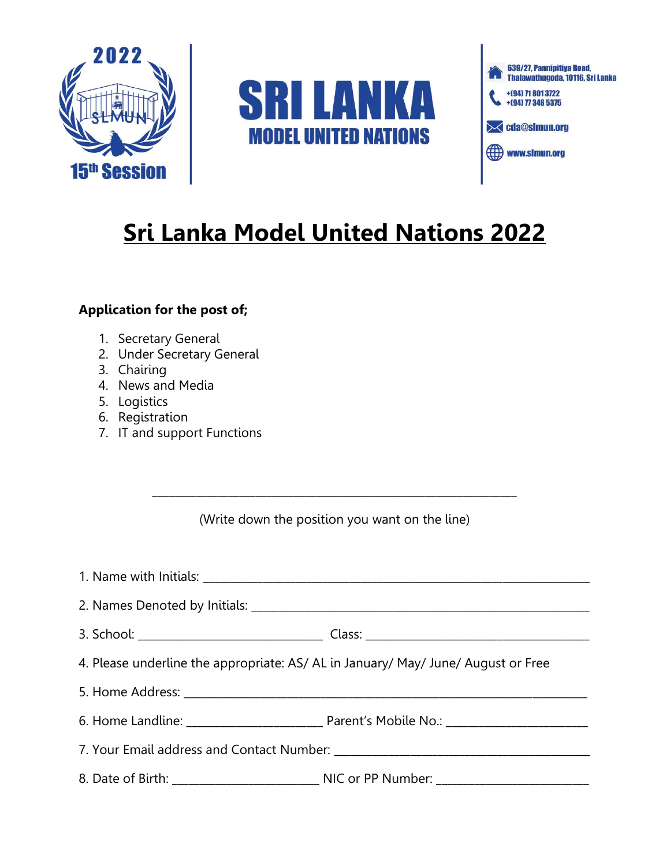





## **Sri Lanka Model United Nations 2022**

## **Application for the post of;**

- 1. Secretary General
- 2. Under Secretary General
- 3. Chairing
- 4. News and Media
- 5. Logistics
- 6. Registration
- 7. IT and support Functions

\_\_\_\_\_\_\_\_\_\_\_\_\_\_\_\_\_\_\_\_\_\_\_\_\_\_\_\_\_\_\_\_\_\_\_\_\_\_\_\_\_\_\_\_\_\_\_\_\_\_\_\_\_\_\_\_\_\_\_\_\_\_\_\_\_\_\_

| 4. Please underline the appropriate: AS/ AL in January/ May/ June/ August or Free |  |
|-----------------------------------------------------------------------------------|--|
|                                                                                   |  |
|                                                                                   |  |
|                                                                                   |  |
|                                                                                   |  |